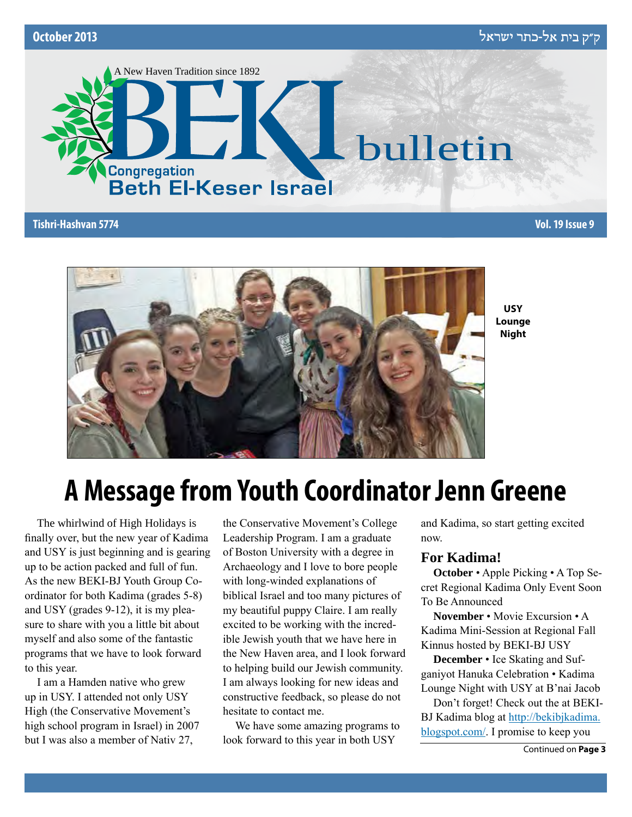



**USY Lounge Night**

## **A Message from Youth Coordinator Jenn Greene**

The whirlwind of High Holidays is finally over, but the new year of Kadima and USY is just beginning and is gearing up to be action packed and full of fun. As the new BEKI-BJ Youth Group Coordinator for both Kadima (grades 5-8) and USY (grades 9-12), it is my pleasure to share with you a little bit about myself and also some of the fantastic programs that we have to look forward to this year.

I am a Hamden native who grew up in USY. I attended not only USY High (the Conservative Movement's high school program in Israel) in 2007 but I was also a member of Nativ 27,

the Conservative Movement's College Leadership Program. I am a graduate of Boston University with a degree in Archaeology and I love to bore people with long-winded explanations of biblical Israel and too many pictures of my beautiful puppy Claire. I am really excited to be working with the incredible Jewish youth that we have here in the New Haven area, and I look forward to helping build our Jewish community. I am always looking for new ideas and constructive feedback, so please do not hesitate to contact me.

We have some amazing programs to look forward to this year in both USY

and Kadima, so start getting excited now.

### **For Kadima!**

**October** • Apple Picking • A Top Secret Regional Kadima Only Event Soon To Be Announced

**November** • Movie Excursion • A Kadima Mini-Session at Regional Fall Kinnus hosted by BEKI-BJ USY

**December** • Ice Skating and Sufganiyot Hanuka Celebration • Kadima Lounge Night with USY at B'nai Jacob

Don't forget! Check out the at BEKI-BJ Kadima blog at http://bekibjkadima. blogspot.com/. I promise to keep you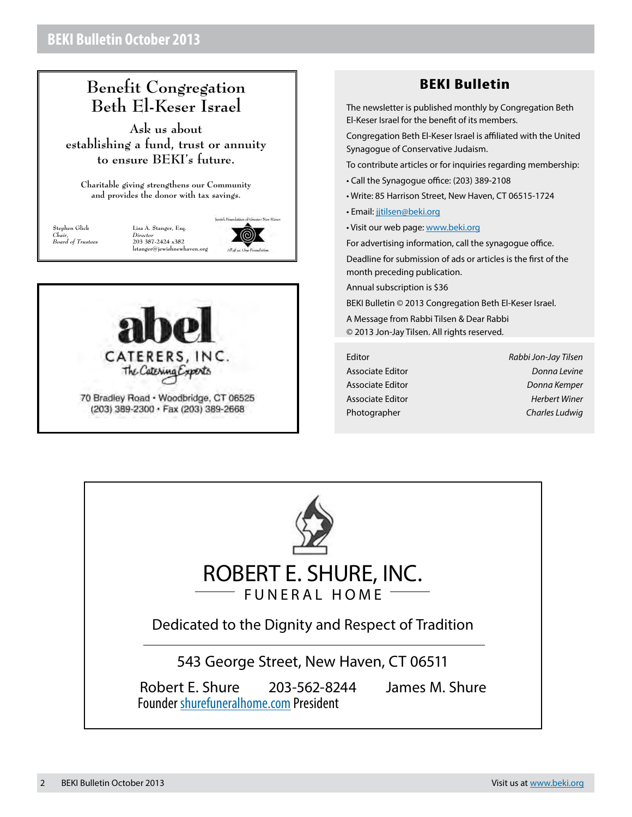## **Benefit Congregation Beth El-Keser Israel**

**Ask us about establishing a fund, trust or annuity to ensure BEKI's future.**

**Charitable giving strengthens our Community and provides the donor with tax savings.**

**Stephen Glick** *Chair, Board of Trustees*

lewish Foundation of Greater New Haves **Lisa A. Stanger, Esq.** *Director* **203 387-2424 x382**  $l$ stanger@jewishnewhave

(@)



## **BEKI Bulletin**

The newsletter is published monthly by Congregation Beth El-Keser Israel for the benefit of its members.

Congregation Beth El-Keser Israel is affiliated with the United Synagogue of Conservative Judaism.

To contribute articles or for inquiries regarding membership:

- Call the Synagogue office: (203) 389-2108
- Write: 85 Harrison Street, New Haven, CT 06515-1724
- Email: [jjtilsen@beki.org](mailto:jjtilsen@beki.org)
- Visit our web page: [www.beki.org](http://www.beki.org)

For advertising information, call the synagogue office.

Deadline for submission of ads or articles is the first of the month preceding publication.

Annual subscription is \$36

BEKI Bulletin © 2013 Congregation Beth El-Keser Israel.

A Message from Rabbi Tilsen & Dear Rabbi © 2013 Jon-Jay Tilsen. All rights reserved.

Editor *Rabbi Jon-Jay Tilsen* Associate Editor *Donna Levine* Associate Editor *Donna Kemper* Associate Editor *Herbert Winer* Photographer *Charles Ludwig*

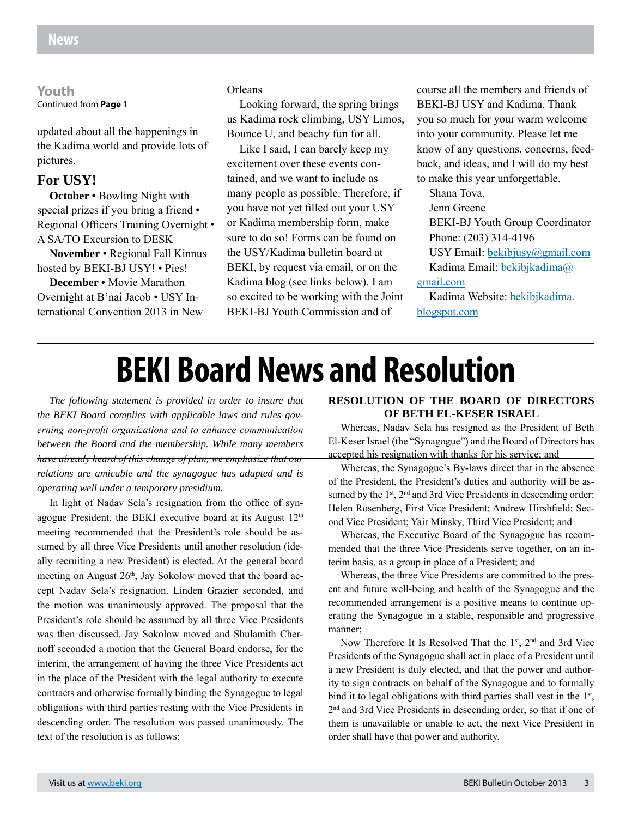#### **Youth** Continued from **Page 1**

updated about all the happenings in the Kadima world and provide lots of pictures.

#### **For USY!**

**October •** Bowling Night with special prizes if you bring a friend • Regional Officers Training Overnight • A SA/TO Excursion to DESK

**November** • Regional Fall Kinnus hosted by BEKI-BJ USY! • Pies!

**December •** Movie Marathon Overnight at B'nai Jacob • USY International Convention 2013 in New

#### Orleans

Looking forward, the spring brings us Kadima rock climbing, USY Limos, Bounce U, and beachy fun for all.

Like I said, I can barely keep my excitement over these events contained, and we want to include as many people as possible. Therefore, if you have not yet filled out your USY or Kadima membership form, make sure to do so! Forms can be found on the USY/Kadima bulletin board at BEKI, by request via email, or on the Kadima blog (see links below). I am so excited to be working with the Joint BEKI-BJ Youth Commission and of

course all the members and friends of BEKI-BJ USY and Kadima. Thank you so much for your warm welcome into your community. Please let me know of any questions, concerns, feedback, and ideas, and I will do my best to make this year unforgettable.

Shana Tova, Jenn Greene BEKI-BJ Youth Group Coordinator Phone: (203) 314-4196 USY Email: bekibjusy@gmail.com Kadima Email: bekibjkadima@

#### gmail.com

Kadima Website: bekibjkadima. blogspot.com

## **BEKI Board News and Resolution**

*The following statement is provided in order to insure that the BEKI Board complies with applicable laws and rules governing non-profit organizations and to enhance communication between the Board and the membership. While many members have already heard of this change of plan, we emphasize that our relations are amicable and the synagogue has adapted and is operating well under a temporary presidium.*

In light of Nadav Sela's resignation from the office of synagogue President, the BEKI executive board at its August  $12<sup>th</sup>$ meeting recommended that the President's role should be assumed by all three Vice Presidents until another resolution (ideally recruiting a new President) is elected. At the general board meeting on August 26<sup>th</sup>, Jay Sokolow moved that the board accept Nadav Sela's resignation. Linden Grazier seconded, and the motion was unanimously approved. The proposal that the President's role should be assumed by all three Vice Presidents was then discussed. Jay Sokolow moved and Shulamith Chernoff seconded a motion that the General Board endorse, for the interim, the arrangement of having the three Vice Presidents act in the place of the President with the legal authority to execute contracts and otherwise formally binding the Synagogue to legal obligations with third parties resting with the Vice Presidents in descending order. The resolution was passed unanimously. The text of the resolution is as follows:

#### **RESOLUTION OF THE BOARD OF DIRECTORS OF BETH EL-KESER ISRAEL**

Whereas, Nadav Sela has resigned as the President of Beth El-Keser Israel (the "Synagogue") and the Board of Directors has accepted his resignation with thanks for his service; and

Whereas, the Synagogue's By-laws direct that in the absence of the President, the President's duties and authority will be assumed by the  $1<sup>st</sup>$ ,  $2<sup>nd</sup>$  and 3rd Vice Presidents in descending order: Helen Rosenberg, First Vice President; Andrew Hirshfield; Second Vice President; Yair Minsky, Third Vice President; and

Whereas, the Executive Board of the Synagogue has recommended that the three Vice Presidents serve together, on an interim basis, as a group in place of a President; and

Whereas, the three Vice Presidents are committed to the present and future well-being and health of the Synagogue and the recommended arrangement is a positive means to continue operating the Synagogue in a stable, responsible and progressive manner;

Now Therefore It Is Resolved That the  $1<sup>st</sup>$ ,  $2<sup>nd</sup>$  and 3rd Vice Presidents of the Synagogue shall act in place of a President until a new President is duly elected, and that the power and authority to sign contracts on behalf of the Synagogue and to formally bind it to legal obligations with third parties shall vest in the  $1<sup>st</sup>$ , 2nd and 3rd Vice Presidents in descending order, so that if one of them is unavailable or unable to act, the next Vice President in order shall have that power and authority.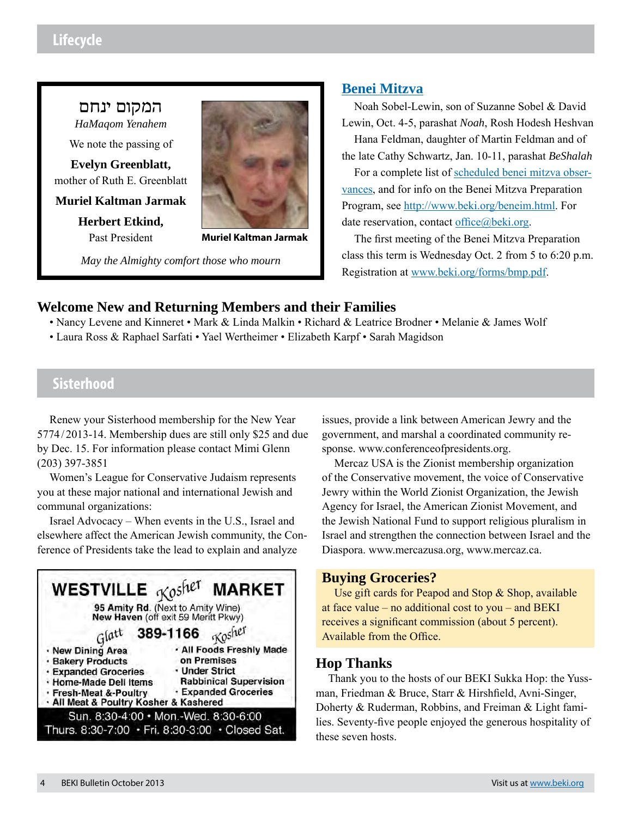## **Lifecycle**

## המקום ינחם

*HaMaqom Yenahem*

We note the passing of

**Evelyn Greenblatt,**  mother of Ruth E. Greenblatt

**Muriel Kaltman Jarmak**

**Herbert Etkind,**  Past President



**Muriel Kaltman Jarmak**

*May the Almighty comfort those who mourn*

## **Benei Mitzva**

Noah Sobel-Lewin, son of Suzanne Sobel & David Lewin, Oct. 4-5, parashat *Noah*, Rosh Hodesh Heshvan Hana Feldman, daughter of Martin Feldman and of

the late Cathy Schwartz, Jan. 10-11, parashat *BeShalah*

For a complete list of scheduled benei mitzva observances, and for info on the Benei Mitzva Preparation Program, see http://www.beki.org/beneim.html. For date reservation, contact office@beki.org.

The first meeting of the Benei Mitzva Preparation class this term is Wednesday Oct. 2 from 5 to 6:20 p.m. Registration at www.beki.org/forms/bmp.pdf.

## **Welcome New and Returning Members and their Families**

- Nancy Levene and Kinneret Mark & Linda Malkin Richard & Leatrice Brodner Melanie & James Wolf
- Laura Ross & Raphael Sarfati Yael Wertheimer Elizabeth Karpf Sarah Magidson

## **Sisterhood**

Renew your Sisterhood membership for the New Year 5774/2013-14. Membership dues are still only \$25 and due by Dec. 15. For information please contact Mimi Glenn (203) 397-3851

Women's League for Conservative Judaism represents you at these major national and international Jewish and communal organizations:

Israel Advocacy – When events in the U.S., Israel and elsewhere affect the American Jewish community, the Conference of Presidents take the lead to explain and analyze



issues, provide a link between American Jewry and the government, and marshal a coordinated community response. www.conferenceofpresidents.org.

Mercaz USA is the Zionist membership organization of the Conservative movement, the voice of Conservative Jewry within the World Zionist Organization, the Jewish Agency for Israel, the American Zionist Movement, and the Jewish National Fund to support religious pluralism in Israel and strengthen the connection between Israel and the Diaspora. www.mercazusa.org, www.mercaz.ca.

## **Buying Groceries?**

Use gift cards for Peapod and Stop & Shop, available at face value – no additional cost to you – and BEKI receives a significant commission (about 5 percent). Available from the Office.

## **Hop Thanks**

Thank you to the hosts of our BEKI Sukka Hop: the Yussman, Friedman & Bruce, Starr & Hirshfield, Avni-Singer, Doherty & Ruderman, Robbins, and Freiman & Light families. Seventy-five people enjoyed the generous hospitality of these seven hosts.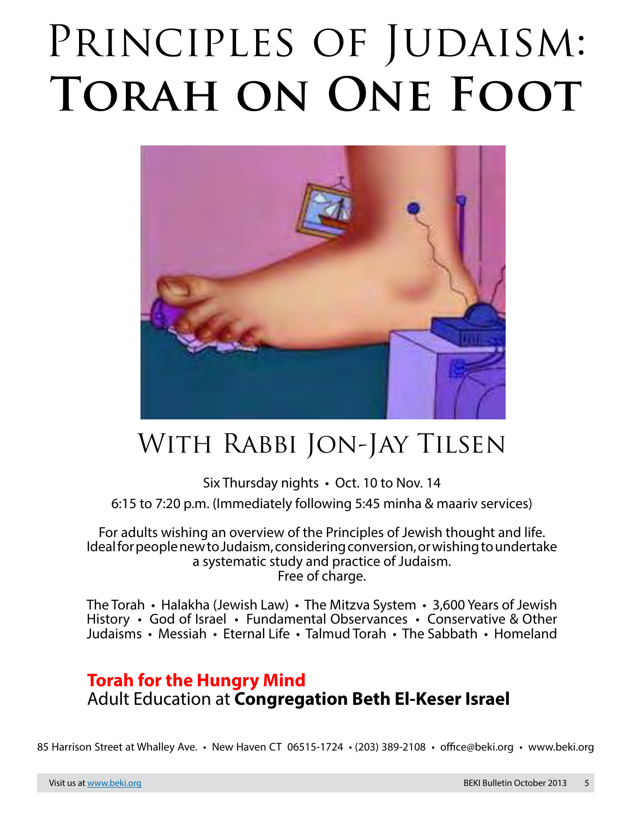# $\mathbf{P}$ PRINCIPLES OF JUDAISM: **Torah on One Foot**



## With Rabbi Jon-Jay Tilsen

## Six Thursday nights • Oct. 10 to Nov. 14 6:15 to 7:20 p.m. (Immediately following 5:45 minha & maariv services)

For adults wishing an overview of the Principles of Jewish thought and life. Ideal for people new to Judaism, considering conversion, or wishing to undertake a systematic study and practice of Judaism. Free of charge.

The Torah • Halakha (Jewish Law) • The Mitzva System • 3,600 Years of Jewish History • God of Israel • Fundamental Observances • Conservative & Other Judaisms • Messiah • Eternal Life • Talmud Torah • The Sabbath • Homeland

## **Torah for the Hungry Mind** Adult Education at **Congregation Beth El-Keser Israel**

85 Harrison Street at Whalley Ave. • New Haven CT 06515-1724 • (203) 389-2108 • office@beki.org • www.beki.org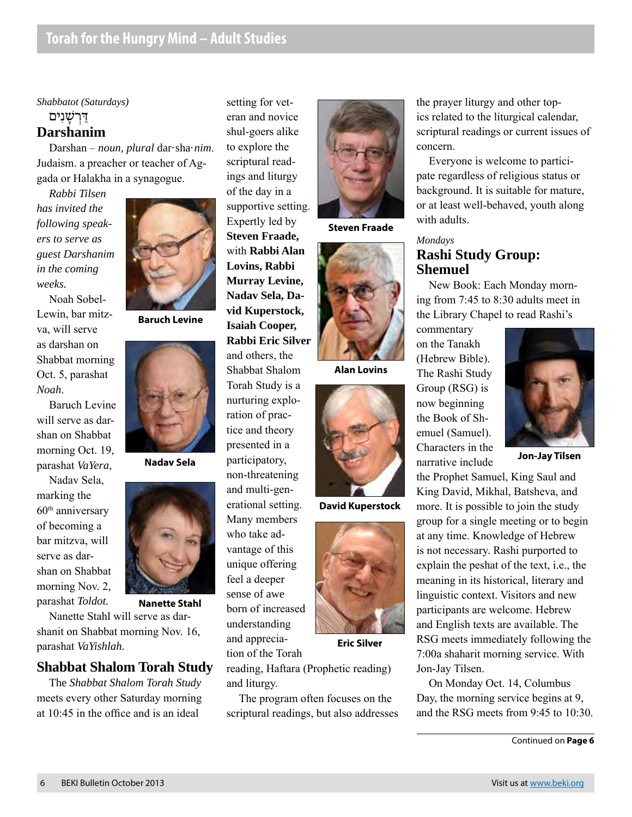*Shabbatot (Saturdays)*

#### <u>דַּרְשָׁנִים</u> **Darshanim**

Darshan – *noun, plural* dar·sha·*nim*. Judaism. a preacher or teacher of Aggada or Halakha in a synagogue.

*Rabbi Tilsen has invited the following speakers to serve as guest Darshanim in the coming weeks.*

Noah Sobel-Lewin, bar mitzva, will serve as darshan on Shabbat morning Oct. 5, parashat *Noah*.

Baruch Levine will serve as darshan on Shabbat morning Oct. 19, parashat *VaYera*,

Nadav Sela, marking the  $60<sup>th</sup>$  anniversary of becoming a bar mitzva, will serve as darshan on Shabbat morning Nov. 2, parashat *Toldot.*

**Baruch Levine**



**Nadav Sela**



**Nanette Stahl**

Nanette Stahl will serve as darshanit on Shabbat morning Nov. 16, parashat *VaYishlah.*

## **Shabbat Shalom Torah Study**

The *Shabbat Shalom Torah Study* meets every other Saturday morning at 10:45 in the office and is an ideal

setting for veteran and novice shul-goers alike to explore the scriptural readings and liturgy of the day in a supportive setting. Expertly led by **Steven Fraade,** with **Rabbi Alan Lovins, Rabbi Murray Levine, Nadav Sela, David Kuperstock, Isaiah Cooper, Rabbi Eric Silver**  and others, the Shabbat Shalom Torah Study is a nurturing exploration of practice and theory presented in a participatory, non-threatening and multi-generational setting. Many members who take advantage of this unique offering feel a deeper sense of awe born of increased understanding and apprecia-



**Steven Fraade**



**Alan Lovins**



**David Kuperstock**



**Eric Silver**

reading, Haftara (Prophetic reading) and liturgy.

The program often focuses on the scriptural readings, but also addresses the prayer liturgy and other topics related to the liturgical calendar, scriptural readings or current issues of concern.

Everyone is welcome to participate regardless of religious status or background. It is suitable for mature, or at least well-behaved, youth along with adults.

*Mondays*

## **Rashi Study Group: Shemuel**

New Book: Each Monday morning from 7:45 to 8:30 adults meet in the Library Chapel to read Rashi's

commentary on the Tanakh (Hebrew Bible). The Rashi Study Group (RSG) is now beginning the Book of Shemuel (Samuel). Characters in the narrative include



**Jon-Jay Tilsen**

the Prophet Samuel, King Saul and King David, Mikhal, Batsheva, and more. It is possible to join the study group for a single meeting or to begin at any time. Knowledge of Hebrew is not necessary. Rashi purported to explain the peshat of the text, i.e., the meaning in its historical, literary and linguistic context. Visitors and new participants are welcome. Hebrew and English texts are available. The RSG meets immediately following the 7:00a shaharit morning service. With Jon-Jay Tilsen.

On Monday Oct. 14, Columbus Day, the morning service begins at 9, and the RSG meets from 9:45 to 10:30.

Continued on **Page 6**

tion of the Torah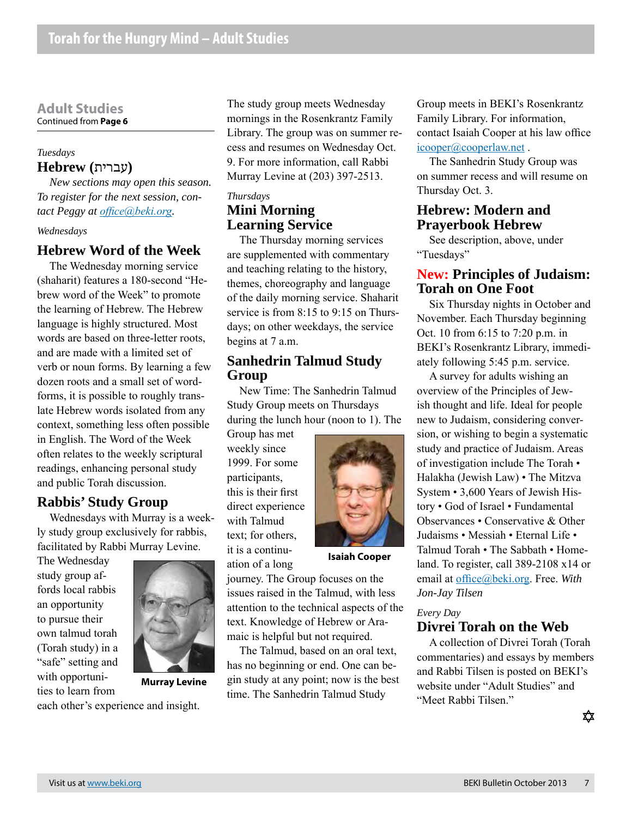#### **Adult Studies** Continued from **Page 6**

#### *Tuesdays* **(**עברית**) Hebrew**

*New sections may open this season. To register for the next session, contact Peggy at [office@beki.org](mailto:office@beki.org).*

#### *Wednesdays*

### **Hebrew Word of the Week**

The Wednesday morning service (shaharit) features a 180-second "Hebrew word of the Week" to promote the learning of Hebrew. The Hebrew language is highly structured. Most words are based on three-letter roots, and are made with a limited set of verb or noun forms. By learning a few dozen roots and a small set of wordforms, it is possible to roughly translate Hebrew words isolated from any context, something less often possible in English. The Word of the Week often relates to the weekly scriptural readings, enhancing personal study and public Torah discussion.

### **Rabbis' Study Group**

Wednesdays with Murray is a weekly study group exclusively for rabbis, facilitated by Rabbi Murray Levine.

The Wednesday study group affords local rabbis an opportunity to pursue their own talmud torah (Torah study) in a "safe" setting and with opportunities to learn from



**Murray Levine**

each other's experience and insight.

The study group meets Wednesday mornings in the Rosenkrantz Family Library. The group was on summer recess and resumes on Wednesday Oct. 9. For more information, call Rabbi Murray Levine at (203) 397-2513.

#### *Thursdays*

### **Mini Morning Learning Service**

The Thursday morning services are supplemented with commentary and teaching relating to the history, themes, choreography and language of the daily morning service. Shaharit service is from 8:15 to 9:15 on Thursdays; on other weekdays, the service begins at 7 a.m.

#### **Sanhedrin Talmud Study Group**

New Time: The Sanhedrin Talmud Study Group meets on Thursdays during the lunch hour (noon to 1). The

Group has met weekly since 1999. For some participants, this is their first direct experience with Talmud text; for others, it is a continuation of a long



**Isaiah Cooper**

journey. The Group focuses on the issues raised in the Talmud, with less attention to the technical aspects of the text. Knowledge of Hebrew or Aramaic is helpful but not required.

The Talmud, based on an oral text, has no beginning or end. One can begin study at any point; now is the best time. The Sanhedrin Talmud Study

Group meets in BEKI's Rosenkrantz Family Library. For information, contact Isaiah Cooper at his law office icooper@cooperlaw.net.

The Sanhedrin Study Group was on summer recess and will resume on Thursday Oct. 3.

### **Hebrew: Modern and Prayerbook Hebrew**

See description, above, under "Tuesdays"

#### **New: Principles of Judaism: Torah on One Foot**

Six Thursday nights in October and November. Each Thursday beginning Oct. 10 from 6:15 to 7:20 p.m. in BEKI's Rosenkrantz Library, immediately following 5:45 p.m. service.

A survey for adults wishing an overview of the Principles of Jewish thought and life. Ideal for people new to Judaism, considering conversion, or wishing to begin a systematic study and practice of Judaism. Areas of investigation include The Torah • Halakha (Jewish Law) • The Mitzva System • 3,600 Years of Jewish History • God of Israel • Fundamental Observances • Conservative & Other Judaisms • Messiah • Eternal Life • Talmud Torah • The Sabbath • Homeland. To register, call 389-2108 x14 or email at office@beki.org. Free. *With Jon-Jay Tilsen*

#### *Every Day*

#### **Divrei Torah on the Web**

A collection of Divrei Torah (Torah commentaries) and essays by members and Rabbi Tilsen is posted on BEKI's website under "Adult Studies" and "Meet Rabbi Tilsen."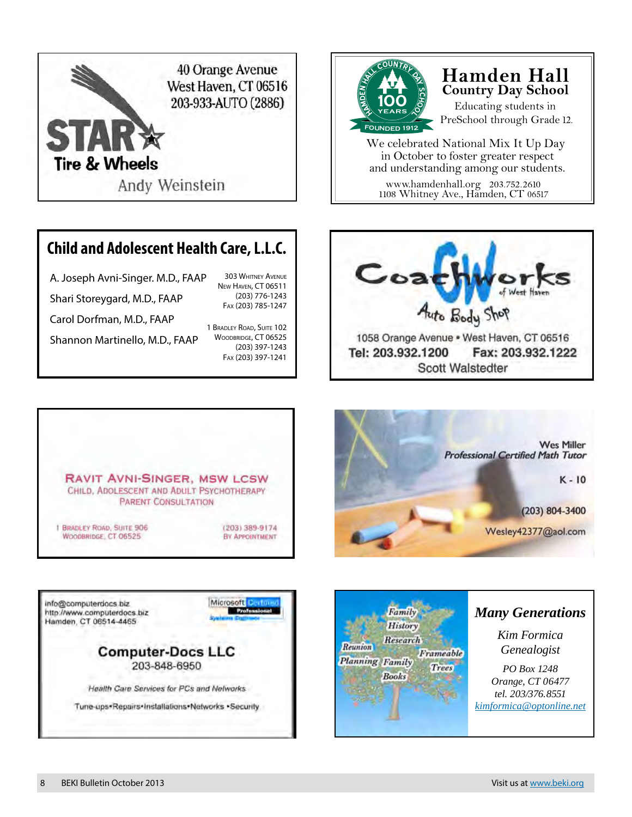

## **Child and Adolescent Health Care, L.L.C.**

A. Joseph Avni-Singer. M.D., FAAP Shari Storeygard, M.D., FAAP Carol Dorfman, M.D., FAAP 303 Whitney Avenue New Haven, CT 06511 Fax (203) 785-1247

Shannon Martinello, M.D., FAAP

1 Bradley Road, Suite 102 WOODBRIDGE, CT 06525 (203) 397-1243 Fax (203) 397-1241

(203) 776-1243



## **Hamden Hall Country Day School**

Educating students in PreSchool through Grade 12.

www.hamdenhall.org 203.752.2610 We celebrated National Mix It Up Day in October to foster greater respect and understanding among our students.

1108 Whitney Ave., Hamden, CT 06517











## *Many Generations*

*Kim Formica Genealogist*

*PO Box 1248 Orange, CT 06477 tel. 203/376.8551 [kimformica@optonline.net](mailto:kimformica@optonline.net)*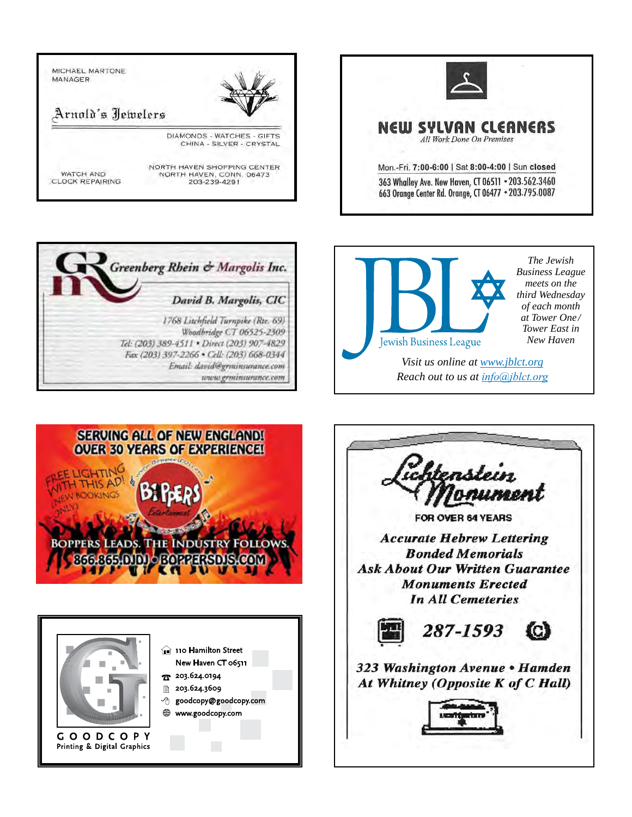





*Business League meets on the third Wednesday of each month at Tower One / Tower East in New Haven*

*Visit us online at www.jblct.org Reach out to us at info@jblct.org*





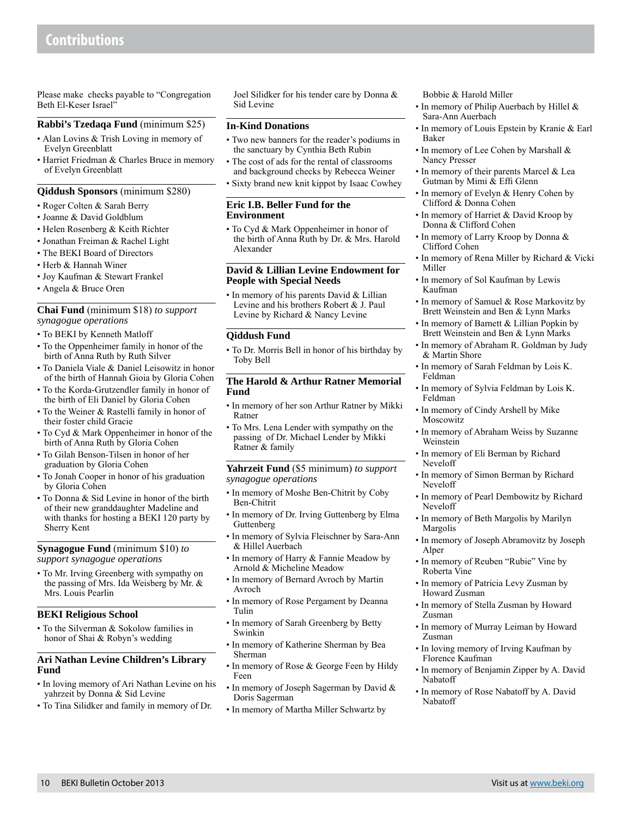## **Contributions**

Please make checks payable to "Congregation Beth El-Keser Israel"

#### **Rabbi's Tzedaqa Fund** (minimum \$25)

- Alan Lovins & Trish Loving in memory of Evelyn Greenblatt
- Harriet Friedman & Charles Bruce in memory of Evelyn Greenblatt

#### **Qiddush Sponsors** (minimum \$280)

- Roger Colten & Sarah Berry
- Joanne & David Goldblum
- Helen Rosenberg & Keith Richter
- Jonathan Freiman & Rachel Light
- The BEKI Board of Directors
- Herb & Hannah Winer
- Joy Kaufman & Stewart Frankel
- Angela & Bruce Oren

#### **Chai Fund** (minimum \$18) *to support synagogue operations*

- To BEKI by Kenneth Matloff
- To the Oppenheimer family in honor of the birth of Anna Ruth by Ruth Silver
- To Daniela Viale & Daniel Leisowitz in honor of the birth of Hannah Gioia by Gloria Cohen
- To the Korda-Grutzendler family in honor of the birth of Eli Daniel by Gloria Cohen
- To the Weiner & Rastelli family in honor of their foster child Gracie
- To Cyd & Mark Oppenheimer in honor of the birth of Anna Ruth by Gloria Cohen
- To Gilah Benson-Tilsen in honor of her graduation by Gloria Cohen
- To Jonah Cooper in honor of his graduation by Gloria Cohen
- To Donna & Sid Levine in honor of the birth of their new granddaughter Madeline and with thanks for hosting a BEKI 120 party by Sherry Kent

**Synagogue Fund** (minimum \$10) *to support synagogue operations*

• To Mr. Irving Greenberg with sympathy on the passing of Mrs. Ida Weisberg by Mr. & Mrs. Louis Pearlin

#### **BEKI Religious School**

• To the Silverman & Sokolow families in honor of Shai & Robyn's wedding

#### **Ari Nathan Levine Children's Library Fund**

- In loving memory of Ari Nathan Levine on his yahrzeit by Donna & Sid Levine
- To Tina Silidker and family in memory of Dr.

Joel Silidker for his tender care by Donna & Sid Levine

#### **In-Kind Donations**

- Two new banners for the reader's podiums in the sanctuary by Cynthia Beth Rubin
- The cost of ads for the rental of classrooms and background checks by Rebecca Weiner
- Sixty brand new knit kippot by Isaac Cowhey

#### **Eric I.B. Beller Fund for the Environment**

• To Cyd & Mark Oppenheimer in honor of the birth of Anna Ruth by Dr. & Mrs. Harold Alexander

#### **David & Lillian Levine Endowment for People with Special Needs**

• In memory of his parents David & Lillian Levine and his brothers Robert & J. Paul Levine by Richard & Nancy Levine

#### **Qiddush Fund**

• To Dr. Morris Bell in honor of his birthday by Toby Bell

#### **The Harold & Arthur Ratner Memorial Fund**

- In memory of her son Arthur Ratner by Mikki Ratner
- To Mrs. Lena Lender with sympathy on the passing of Dr. Michael Lender by Mikki Ratner & family

**Yahrzeit Fund** (\$5 minimum) *to support synagogue operations*

- In memory of Moshe Ben-Chitrit by Coby Ben-Chitrit
- In memory of Dr. Irving Guttenberg by Elma Guttenberg
- In memory of Sylvia Fleischner by Sara-Ann & Hillel Auerbach
- In memory of Harry & Fannie Meadow by Arnold & Micheline Meadow
- In memory of Bernard Avroch by Martin Avroch
- In memory of Rose Pergament by Deanna Tulin
- In memory of Sarah Greenberg by Betty Swinkin
- In memory of Katherine Sherman by Bea Sherman
- In memory of Rose & George Feen by Hildy Feen
- In memory of Joseph Sagerman by David & Doris Sagerman
- In memory of Martha Miller Schwartz by

#### Bobbie & Harold Miller

- In memory of Philip Auerbach by Hillel & Sara-Ann Auerbach
- In memory of Louis Epstein by Kranie & Earl Baker
- In memory of Lee Cohen by Marshall & Nancy Presser
- In memory of their parents Marcel & Lea Gutman by Mimi & Effi Glenn
- In memory of Evelyn & Henry Cohen by Clifford & Donna Cohen
- In memory of Harriet & David Kroop by Donna & Clifford Cohen
- In memory of Larry Kroop by Donna & Clifford Cohen
- In memory of Rena Miller by Richard & Vicki Miller
- In memory of Sol Kaufman by Lewis Kaufman
- In memory of Samuel & Rose Markovitz by Brett Weinstein and Ben & Lynn Marks
- In memory of Barnett & Lillian Popkin by Brett Weinstein and Ben & Lynn Marks
- In memory of Abraham R. Goldman by Judy & Martin Shore
- In memory of Sarah Feldman by Lois K. Feldman
- In memory of Sylvia Feldman by Lois K. Feldman
- In memory of Cindy Arshell by Mike Moscowitz
- In memory of Abraham Weiss by Suzanne Weinstein
- In memory of Eli Berman by Richard Neveloff
- In memory of Simon Berman by Richard Neveloff
- In memory of Pearl Dembowitz by Richard Neveloff
- In memory of Beth Margolis by Marilyn Margolis
- In memory of Joseph Abramovitz by Joseph Alper
- In memory of Reuben "Rubie" Vine by Roberta Vine
- In memory of Patricia Levy Zusman by Howard Zusman
- In memory of Stella Zusman by Howard Zusman
- In memory of Murray Leiman by Howard Zusman
- In loving memory of Irving Kaufman by Florence Kaufman
- In memory of Benjamin Zipper by A. David Nabatoff
- In memory of Rose Nabatoff by A. David Nabatoff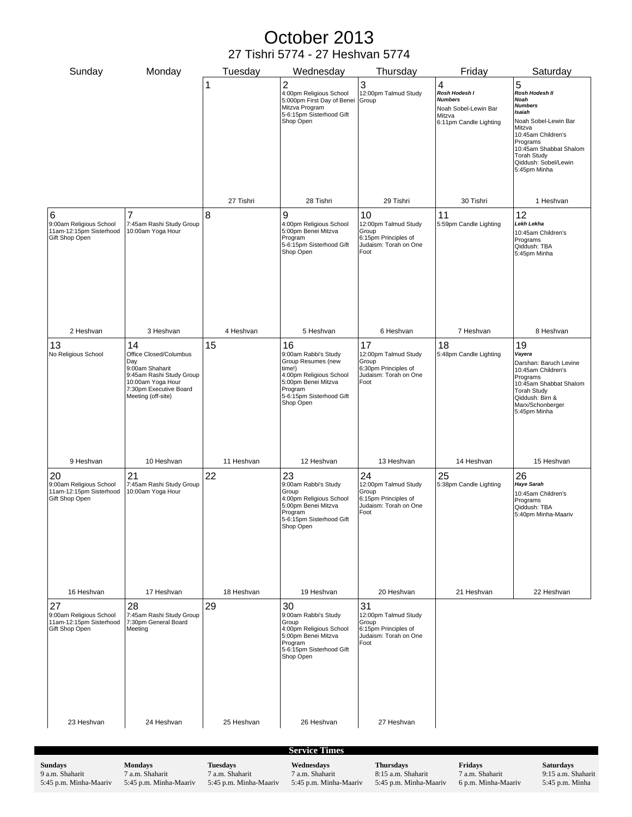## October 2013 27 Tishri 5774 - 27 Heshvan 5774

| Sunday                                                                     | Monday                                                                                                                                                  |    | Tuesday    | Wednesday                                                                                                                                                        | Thursday                                                                                     | Friday                                                                                           | Saturday                                                                                                                                                                                                            |
|----------------------------------------------------------------------------|---------------------------------------------------------------------------------------------------------------------------------------------------------|----|------------|------------------------------------------------------------------------------------------------------------------------------------------------------------------|----------------------------------------------------------------------------------------------|--------------------------------------------------------------------------------------------------|---------------------------------------------------------------------------------------------------------------------------------------------------------------------------------------------------------------------|
|                                                                            |                                                                                                                                                         | 1  |            | $\overline{2}$<br>4:00pm Religious School<br>5:000pm First Day of Benei<br>Mitzva Program<br>5-6:15pm Sisterhood Gift<br>Shop Open                               | 3<br>12:00pm Talmud Study<br>Group                                                           | 4<br>Rosh Hodesh I<br><b>Numbers</b><br>Noah Sobel-Lewin Bar<br>Mitzva<br>6:11pm Candle Lighting | 5<br>Rosh Hodesh II<br>Noah<br><b>Numbers</b><br>Isaiah<br>Noah Sobel-Lewin Bar<br>Mitzva<br>10:45am Children's<br>Programs<br>10:45am Shabbat Shalom<br><b>Torah Study</b><br>Qiddush: Sobel/Lewin<br>5:45pm Minha |
|                                                                            |                                                                                                                                                         |    | 27 Tishri  | 28 Tishri                                                                                                                                                        | 29 Tishri                                                                                    | 30 Tishri                                                                                        | 1 Heshvan                                                                                                                                                                                                           |
| 6<br>9:00am Religious School<br>11am-12:15pm Sisterhood<br>Gift Shop Open  | 7<br>7:45am Rashi Study Group<br>10:00am Yoga Hour                                                                                                      | 8  |            | 9<br>4:00pm Religious School<br>5:00pm Benei Mitzva<br>Program<br>5-6:15pm Sisterhood Gift<br>Shop Open                                                          | 10<br>12:00pm Talmud Study<br>Group<br>6:15pm Principles of<br>Judaism: Torah on One<br>Foot | 11<br>5:59pm Candle Lighting                                                                     | 12<br>Lekh Lekha<br>10:45am Children's<br>Programs<br>Qiddush: TBA<br>5:45pm Minha                                                                                                                                  |
| 2 Heshvan                                                                  | 3 Heshvan                                                                                                                                               |    | 4 Heshvan  | 5 Heshvan                                                                                                                                                        | 6 Heshvan                                                                                    | 7 Heshvan                                                                                        | 8 Heshvan                                                                                                                                                                                                           |
| 13<br>No Religious School                                                  | 14<br>Office Closed/Columbus<br>Day<br>9:00am Shaharit<br>9:45am Rashi Study Group<br>10:00am Yoga Hour<br>7:30pm Executive Board<br>Meeting (off-site) | 15 |            | 16<br>9:00am Rabbi's Study<br>Group Resumes (new<br>time!)<br>4:00pm Religious School<br>5:00pm Benei Mitzva<br>Program<br>5-6:15pm Sisterhood Gift<br>Shop Open | 17<br>12:00pm Talmud Study<br>Group<br>6:30pm Principles of<br>Judaism: Torah on One<br>Foot | 18<br>5:48pm Candle Lighting                                                                     | 19<br>Vayera<br>Darshan: Baruch Levine<br>10:45am Children's<br>Programs<br>10:45am Shabbat Shalom<br><b>Torah Study</b><br>Qiddush: Birn &<br>Marx/Schonberger<br>5:45pm Minha                                     |
| 9 Heshvan                                                                  | 10 Heshvan                                                                                                                                              |    | 11 Heshvan | 12 Heshvan                                                                                                                                                       | 13 Heshvan                                                                                   | 14 Heshvan                                                                                       | 15 Heshvan                                                                                                                                                                                                          |
| 20<br>9:00am Religious School<br>11am-12:15pm Sisterhood<br>Gift Shop Open | 21<br>7:45am Rashi Study Group<br>10:00am Yoga Hour                                                                                                     | 22 |            | 23<br>9:00am Rabbi's Study<br>Group<br>4:00pm Religious School<br>5:00pm Benei Mitzva<br>Program<br>5-6:15pm Sisterhood Gift<br>Shop Open                        | 24<br>12:00pm Talmud Study<br>Group<br>6:15pm Principles of<br>Judaism: Torah on One<br>Foot | 25<br>5:38pm Candle Lighting                                                                     | 26<br><b>Haye Sarah</b><br>10:45am Children's<br>Programs<br>Qiddush: TBA<br>5:40pm Minha-Maariv                                                                                                                    |
| 16 Heshvan                                                                 | 17 Heshvan                                                                                                                                              |    | 18 Heshvan | 19 Heshvan                                                                                                                                                       | 20 Heshvan                                                                                   | 21 Heshvan                                                                                       | 22 Heshvan                                                                                                                                                                                                          |
| 27<br>9:00am Religious School<br>11am-12:15pm Sisterhood<br>Gift Shop Open | 28<br>7:45am Rashi Study Group<br>7:30pm General Board<br>Meeting                                                                                       | 29 |            | 30<br>9:00am Rabbi's Study<br>Group<br>4:00pm Religious School<br>5:00pm Benei Mitzva<br>Program<br>5-6:15pm Sisterhood Gift<br>Shop Open                        | 31<br>12:00pm Talmud Study<br>Group<br>6:15pm Principles of<br>Judaism: Torah on One<br>Foot |                                                                                                  |                                                                                                                                                                                                                     |
| 23 Heshvan                                                                 | 24 Heshvan                                                                                                                                              |    | 25 Heshvan | 26 Heshvan                                                                                                                                                       | 27 Heshvan                                                                                   |                                                                                                  |                                                                                                                                                                                                                     |

**Sundays** 9 a.m. Shaharit 5:45 p.m. Minha-Maariv **Mondays** 7 a.m. Shaharit 5:45 p.m. Minha-Maariv **Tuesdays** 7 a.m. Shaharit 5:45 p.m. Minha-Maariv **Wednesdays** 7 a.m. Shaharit 5:45 p.m. Minha-Maariv **Thursdays** 8:15 a.m. Shaharit 5:45 p.m. Minha-Maariv **Fridays** 7 a.m. Shaharit 6 p.m. Minha-Maariv **Saturdays** 9:15 a.m. Shaharit 5:45 p.m. Minha **Service Times**